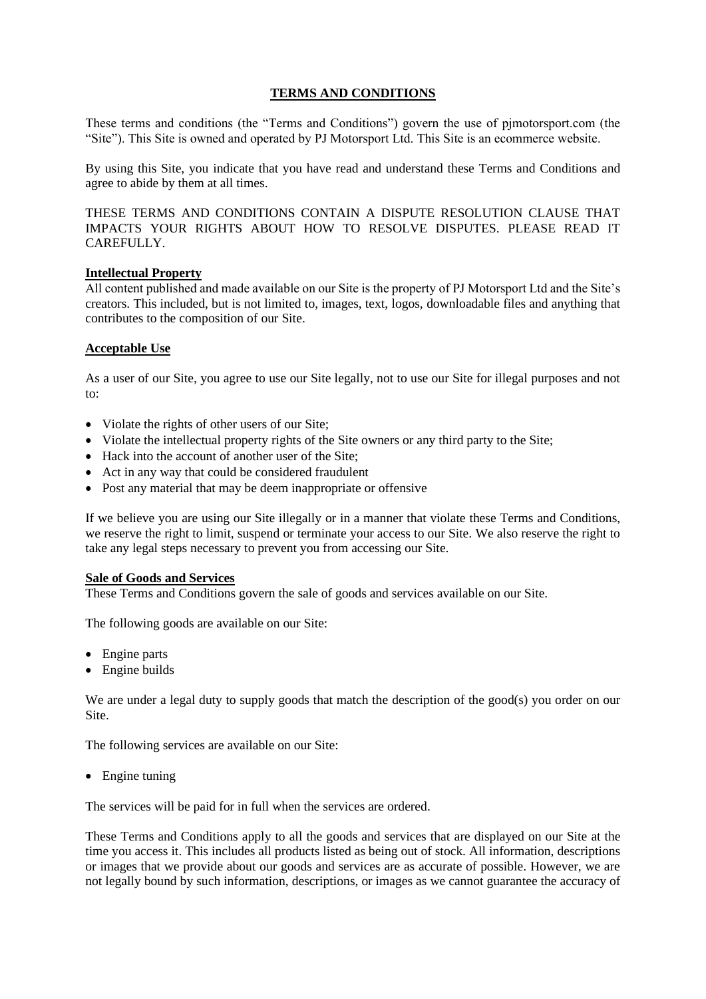# **TERMS AND CONDITIONS**

These terms and conditions (the "Terms and Conditions") govern the use of pjmotorsport.com (the "Site"). This Site is owned and operated by PJ Motorsport Ltd. This Site is an ecommerce website.

By using this Site, you indicate that you have read and understand these Terms and Conditions and agree to abide by them at all times.

THESE TERMS AND CONDITIONS CONTAIN A DISPUTE RESOLUTION CLAUSE THAT IMPACTS YOUR RIGHTS ABOUT HOW TO RESOLVE DISPUTES. PLEASE READ IT CAREFULLY.

## **Intellectual Property**

All content published and made available on our Site is the property of PJ Motorsport Ltd and the Site's creators. This included, but is not limited to, images, text, logos, downloadable files and anything that contributes to the composition of our Site.

### **Acceptable Use**

As a user of our Site, you agree to use our Site legally, not to use our Site for illegal purposes and not to:

- Violate the rights of other users of our Site;
- Violate the intellectual property rights of the Site owners or any third party to the Site;
- Hack into the account of another user of the Site:
- Act in any way that could be considered fraudulent
- Post any material that may be deem inappropriate or offensive

If we believe you are using our Site illegally or in a manner that violate these Terms and Conditions, we reserve the right to limit, suspend or terminate your access to our Site. We also reserve the right to take any legal steps necessary to prevent you from accessing our Site.

### **Sale of Goods and Services**

These Terms and Conditions govern the sale of goods and services available on our Site.

The following goods are available on our Site:

- Engine parts
- Engine builds

We are under a legal duty to supply goods that match the description of the good(s) you order on our Site.

The following services are available on our Site:

• Engine tuning

The services will be paid for in full when the services are ordered.

These Terms and Conditions apply to all the goods and services that are displayed on our Site at the time you access it. This includes all products listed as being out of stock. All information, descriptions or images that we provide about our goods and services are as accurate of possible. However, we are not legally bound by such information, descriptions, or images as we cannot guarantee the accuracy of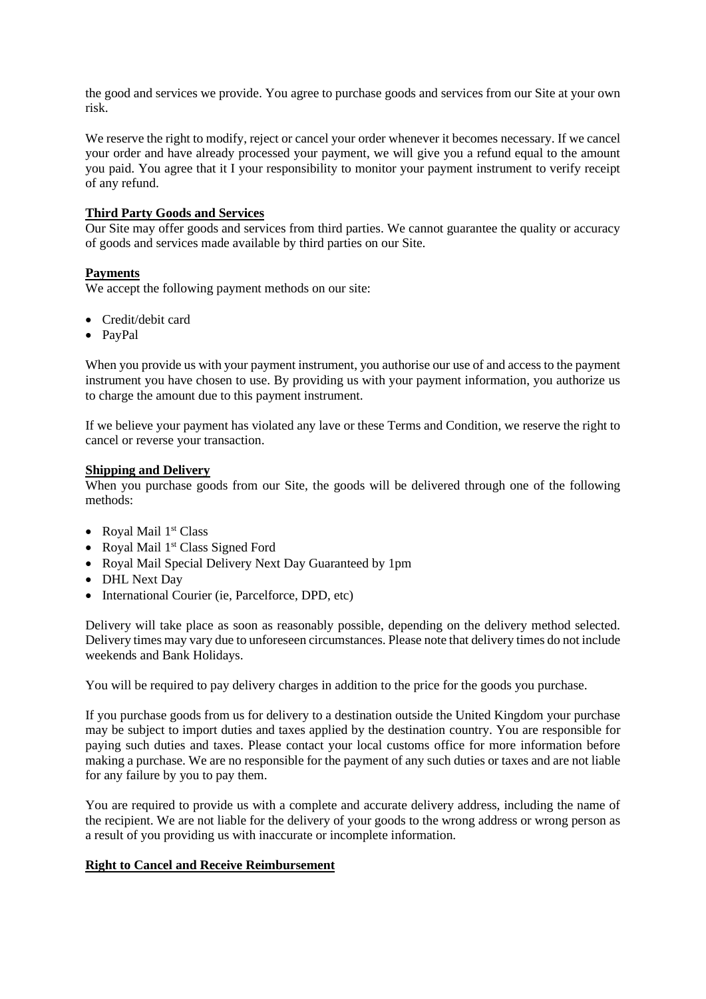the good and services we provide. You agree to purchase goods and services from our Site at your own risk.

We reserve the right to modify, reject or cancel your order whenever it becomes necessary. If we cancel your order and have already processed your payment, we will give you a refund equal to the amount you paid. You agree that it I your responsibility to monitor your payment instrument to verify receipt of any refund.

## **Third Party Goods and Services**

Our Site may offer goods and services from third parties. We cannot guarantee the quality or accuracy of goods and services made available by third parties on our Site.

### **Payments**

We accept the following payment methods on our site:

- Credit/debit card
- PayPal

When you provide us with your payment instrument, you authorise our use of and access to the payment instrument you have chosen to use. By providing us with your payment information, you authorize us to charge the amount due to this payment instrument.

If we believe your payment has violated any lave or these Terms and Condition, we reserve the right to cancel or reverse your transaction.

### **Shipping and Delivery**

When you purchase goods from our Site, the goods will be delivered through one of the following methods:

- Royal Mail 1<sup>st</sup> Class
- Royal Mail 1<sup>st</sup> Class Signed Ford
- Royal Mail Special Delivery Next Day Guaranteed by 1pm
- DHL Next Day
- International Courier (ie, Parcelforce, DPD, etc)

Delivery will take place as soon as reasonably possible, depending on the delivery method selected. Delivery times may vary due to unforeseen circumstances. Please note that delivery times do not include weekends and Bank Holidays.

You will be required to pay delivery charges in addition to the price for the goods you purchase.

If you purchase goods from us for delivery to a destination outside the United Kingdom your purchase may be subject to import duties and taxes applied by the destination country. You are responsible for paying such duties and taxes. Please contact your local customs office for more information before making a purchase. We are no responsible for the payment of any such duties or taxes and are not liable for any failure by you to pay them.

You are required to provide us with a complete and accurate delivery address, including the name of the recipient. We are not liable for the delivery of your goods to the wrong address or wrong person as a result of you providing us with inaccurate or incomplete information.

## **Right to Cancel and Receive Reimbursement**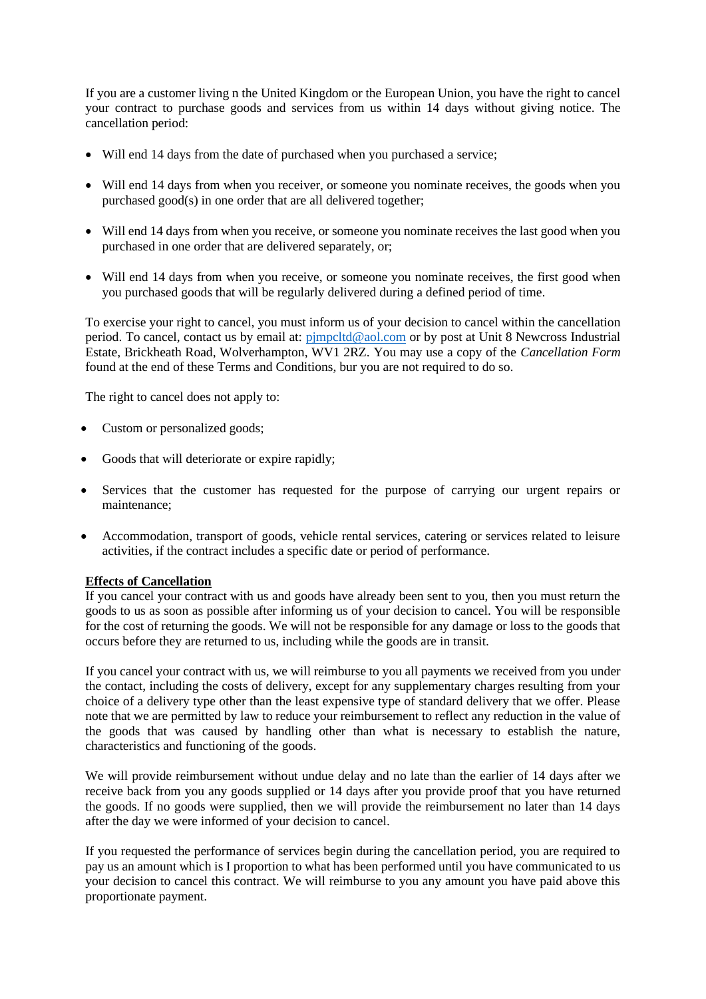If you are a customer living n the United Kingdom or the European Union, you have the right to cancel your contract to purchase goods and services from us within 14 days without giving notice. The cancellation period:

- Will end 14 days from the date of purchased when you purchased a service;
- Will end 14 days from when you receiver, or someone you nominate receives, the goods when you purchased good(s) in one order that are all delivered together;
- Will end 14 days from when you receive, or someone you nominate receives the last good when you purchased in one order that are delivered separately, or;
- Will end 14 days from when you receive, or someone you nominate receives, the first good when you purchased goods that will be regularly delivered during a defined period of time.

To exercise your right to cancel, you must inform us of your decision to cancel within the cancellation period. To cancel, contact us by email at: pimpcltd@aol.com or by post at Unit 8 Newcross Industrial Estate, Brickheath Road, Wolverhampton, WV1 2RZ. You may use a copy of the *Cancellation Form* found at the end of these Terms and Conditions, bur you are not required to do so.

The right to cancel does not apply to:

- Custom or personalized goods;
- Goods that will deteriorate or expire rapidly;
- Services that the customer has requested for the purpose of carrying our urgent repairs or maintenance;
- Accommodation, transport of goods, vehicle rental services, catering or services related to leisure activities, if the contract includes a specific date or period of performance.

## **Effects of Cancellation**

If you cancel your contract with us and goods have already been sent to you, then you must return the goods to us as soon as possible after informing us of your decision to cancel. You will be responsible for the cost of returning the goods. We will not be responsible for any damage or loss to the goods that occurs before they are returned to us, including while the goods are in transit.

If you cancel your contract with us, we will reimburse to you all payments we received from you under the contact, including the costs of delivery, except for any supplementary charges resulting from your choice of a delivery type other than the least expensive type of standard delivery that we offer. Please note that we are permitted by law to reduce your reimbursement to reflect any reduction in the value of the goods that was caused by handling other than what is necessary to establish the nature, characteristics and functioning of the goods.

We will provide reimbursement without undue delay and no late than the earlier of 14 days after we receive back from you any goods supplied or 14 days after you provide proof that you have returned the goods. If no goods were supplied, then we will provide the reimbursement no later than 14 days after the day we were informed of your decision to cancel.

If you requested the performance of services begin during the cancellation period, you are required to pay us an amount which is I proportion to what has been performed until you have communicated to us your decision to cancel this contract. We will reimburse to you any amount you have paid above this proportionate payment.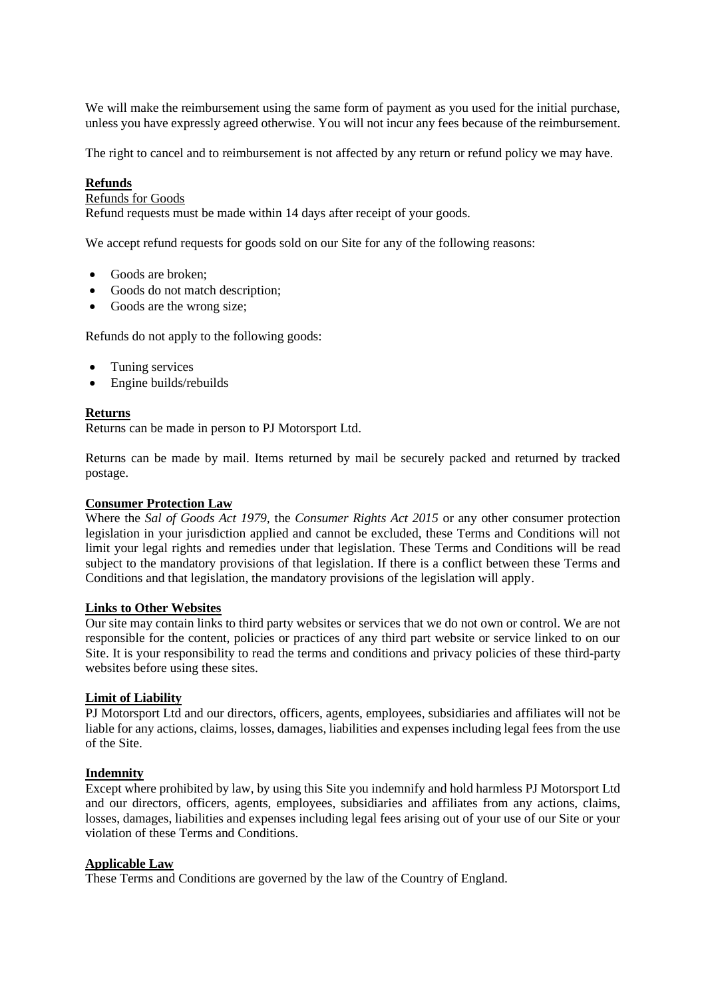We will make the reimbursement using the same form of payment as you used for the initial purchase, unless you have expressly agreed otherwise. You will not incur any fees because of the reimbursement.

The right to cancel and to reimbursement is not affected by any return or refund policy we may have.

### **Refunds**

#### Refunds for Goods

Refund requests must be made within 14 days after receipt of your goods.

We accept refund requests for goods sold on our Site for any of the following reasons:

- Goods are broken:
- Goods do not match description;
- Goods are the wrong size;

Refunds do not apply to the following goods:

- Tuning services
- Engine builds/rebuilds

#### **Returns**

Returns can be made in person to PJ Motorsport Ltd.

Returns can be made by mail. Items returned by mail be securely packed and returned by tracked postage.

### **Consumer Protection Law**

Where the *Sal of Goods Act 1979,* the *Consumer Rights Act 2015* or any other consumer protection legislation in your jurisdiction applied and cannot be excluded, these Terms and Conditions will not limit your legal rights and remedies under that legislation. These Terms and Conditions will be read subject to the mandatory provisions of that legislation. If there is a conflict between these Terms and Conditions and that legislation, the mandatory provisions of the legislation will apply.

#### **Links to Other Websites**

Our site may contain links to third party websites or services that we do not own or control. We are not responsible for the content, policies or practices of any third part website or service linked to on our Site. It is your responsibility to read the terms and conditions and privacy policies of these third-party websites before using these sites.

#### **Limit of Liability**

PJ Motorsport Ltd and our directors, officers, agents, employees, subsidiaries and affiliates will not be liable for any actions, claims, losses, damages, liabilities and expenses including legal fees from the use of the Site.

#### **Indemnity**

Except where prohibited by law, by using this Site you indemnify and hold harmless PJ Motorsport Ltd and our directors, officers, agents, employees, subsidiaries and affiliates from any actions, claims, losses, damages, liabilities and expenses including legal fees arising out of your use of our Site or your violation of these Terms and Conditions.

#### **Applicable Law**

These Terms and Conditions are governed by the law of the Country of England.